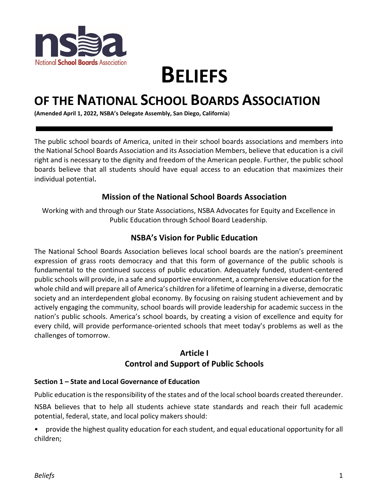

# **BELIEFS**

# **OF THE NATIONAL SCHOOL BOARDS ASSOCIATION**

**(Amended April 1, 2022, NSBA's Delegate Assembly, San Diego, California**)

The public school boards of America, united in their school boards associations and members into the National School Boards Association and its Association Members, believe that education is a civil right and is necessary to the dignity and freedom of the American people. Further, the public school boards believe that all students should have equal access to an education that maximizes their individual potential.

## **Mission of the National School Boards Association**

Working with and through our State Associations, NSBA Advocates for Equity and Excellence in Public Education through School Board Leadership.

## **NSBA's Vision for Public Education**

The National School Boards Association believes local school boards are the nation's preeminent expression of grass roots democracy and that this form of governance of the public schools is fundamental to the continued success of public education. Adequately funded, student-centered public schools will provide, in a safe and supportive environment, a comprehensive education for the whole child and will prepare all of America's children for a lifetime of learning in a diverse, democratic society and an interdependent global economy. By focusing on raising student achievement and by actively engaging the community, school boards will provide leadership for academic success in the nation's public schools. America's school boards, by creating a vision of excellence and equity for every child, will provide performance-oriented schools that meet today's problems as well as the challenges of tomorrow.

# **Article I Control and Support of Public Schools**

#### **Section 1 – State and Local Governance of Education**

Public education is the responsibility of the states and of the local school boards created thereunder.

NSBA believes that to help all students achieve state standards and reach their full academic potential, federal, state, and local policy makers should:

• provide the highest quality education for each student, and equal educational opportunity for all children;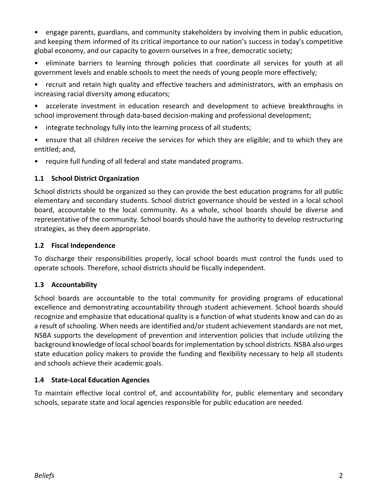• engage parents, guardians, and community stakeholders by involving them in public education, and keeping them informed of its critical importance to our nation's success in today's competitive global economy, and our capacity to govern ourselves in a free, democratic society;

• eliminate barriers to learning through policies that coordinate all services for youth at all government levels and enable schools to meet the needs of young people more effectively;

• recruit and retain high quality and effective teachers and administrators, with an emphasis on increasing racial diversity among educators;

• accelerate investment in education research and development to achieve breakthroughs in school improvement through data-based decision-making and professional development;

- integrate technology fully into the learning process of all students;
- ensure that all children receive the services for which they are eligible; and to which they are entitled; and,
- require full funding of all federal and state mandated programs.

#### **1.1 School District Organization**

School districts should be organized so they can provide the best education programs for all public elementary and secondary students. School district governance should be vested in a local school board, accountable to the local community. As a whole, school boards should be diverse and representative of the community. School boards should have the authority to develop restructuring strategies, as they deem appropriate.

#### **1.2 Fiscal Independence**

To discharge their responsibilities properly, local school boards must control the funds used to operate schools. Therefore, school districts should be fiscally independent.

#### **1.3 Accountability**

School boards are accountable to the total community for providing programs of educational excellence and demonstrating accountability through student achievement. School boards should recognize and emphasize that educational quality is a function of what students know and can do as a result of schooling. When needs are identified and/or student achievement standards are not met, NSBA supports the development of prevention and intervention policies that include utilizing the background knowledge of local school boards for implementation by school districts. NSBA also urges state education policy makers to provide the funding and flexibility necessary to help all students and schools achieve their academic goals.

#### **1.4 State-Local Education Agencies**

To maintain effective local control of, and accountability for, public elementary and secondary schools, separate state and local agencies responsible for public education are needed.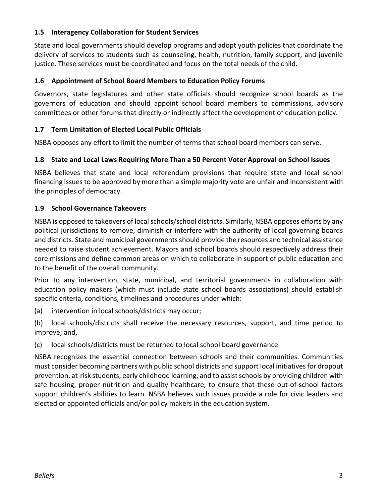#### **1.5 Interagency Collaboration for Student Services**

State and local governments should develop programs and adopt youth policies that coordinate the delivery of services to students such as counseling, health, nutrition, family support, and juvenile justice. These services must be coordinated and focus on the total needs of the child.

#### **1.6 Appointment of School Board Members to Education Policy Forums**

Governors, state legislatures and other state officials should recognize school boards as the governors of education and should appoint school board members to commissions, advisory committees or other forums that directly or indirectly affect the development of education policy.

#### **1.7 Term Limitation of Elected Local Public Officials**

NSBA opposes any effort to limit the number of terms that school board members can serve.

#### **1.8 State and Local Laws Requiring More Than a 50 Percent Voter Approval on School Issues**

NSBA believes that state and local referendum provisions that require state and local school financing issues to be approved by more than a simple majority vote are unfair and inconsistent with the principles of democracy.

#### **1.9 School Governance Takeovers**

NSBA is opposed to takeovers of local schools/school districts. Similarly, NSBA opposes efforts by any political jurisdictions to remove, diminish or interfere with the authority of local governing boards and districts. State and municipal governments should provide the resources and technical assistance needed to raise student achievement. Mayors and school boards should respectively address their core missions and define common areas on which to collaborate in support of public education and to the benefit of the overall community.

Prior to any intervention, state, municipal, and territorial governments in collaboration with education policy makers (which must include state school boards associations) should establish specific criteria, conditions, timelines and procedures under which:

(a) intervention in local schools/districts may occur;

(b) local schools/districts shall receive the necessary resources, support, and time period to improve; and,

(c) local schools/districts must be returned to local school board governance.

NSBA recognizes the essential connection between schools and their communities. Communities must consider becoming partners with public school districts and support local initiatives for dropout prevention, at-risk students, early childhood learning, and to assist schools by providing children with safe housing, proper nutrition and quality healthcare, to ensure that these out-of-school factors support children's abilities to learn. NSBA believes such issues provide a role for civic leaders and elected or appointed officials and/or policy makers in the education system.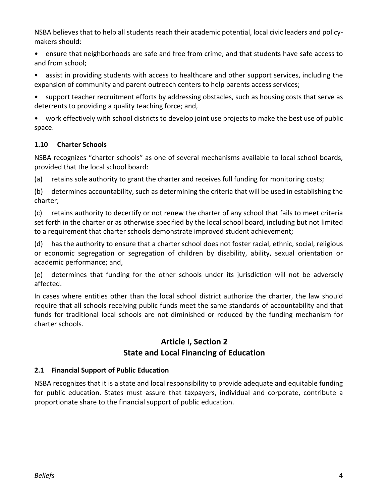NSBA believes that to help all students reach their academic potential, local civic leaders and policymakers should:

- ensure that neighborhoods are safe and free from crime, and that students have safe access to and from school;
- assist in providing students with access to healthcare and other support services, including the expansion of community and parent outreach centers to help parents access services;
- support teacher recruitment efforts by addressing obstacles, such as housing costs that serve as deterrents to providing a quality teaching force; and,

• work effectively with school districts to develop joint use projects to make the best use of public space.

#### **1.10 Charter Schools**

NSBA recognizes "charter schools" as one of several mechanisms available to local school boards, provided that the local school board:

(a) retains sole authority to grant the charter and receives full funding for monitoring costs;

(b) determines accountability, such as determining the criteria that will be used in establishing the charter;

(c) retains authority to decertify or not renew the charter of any school that fails to meet criteria set forth in the charter or as otherwise specified by the local school board, including but not limited to a requirement that charter schools demonstrate improved student achievement;

(d) has the authority to ensure that a charter school does not foster racial, ethnic, social, religious or economic segregation or segregation of children by disability, ability, sexual orientation or academic performance; and,

(e) determines that funding for the other schools under its jurisdiction will not be adversely affected.

In cases where entities other than the local school district authorize the charter, the law should require that all schools receiving public funds meet the same standards of accountability and that funds for traditional local schools are not diminished or reduced by the funding mechanism for charter schools.

# **Article I, Section 2 State and Local Financing of Education**

#### **2.1 Financial Support of Public Education**

NSBA recognizes that it is a state and local responsibility to provide adequate and equitable funding for public education. States must assure that taxpayers, individual and corporate, contribute a proportionate share to the financial support of public education.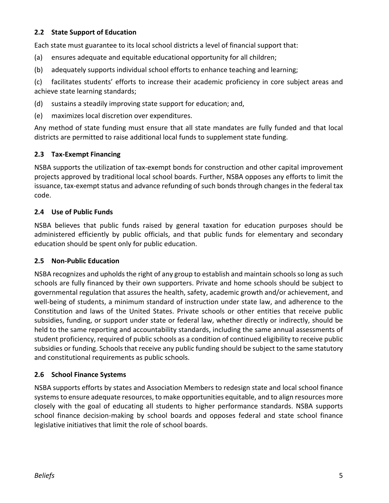#### **2.2 State Support of Education**

Each state must guarantee to its local school districts a level of financial support that:

- (a) ensures adequate and equitable educational opportunity for all children;
- (b) adequately supports individual school efforts to enhance teaching and learning;

(c) facilitates students' efforts to increase their academic proficiency in core subject areas and achieve state learning standards;

- (d) sustains a steadily improving state support for education; and,
- (e) maximizes local discretion over expenditures.

Any method of state funding must ensure that all state mandates are fully funded and that local districts are permitted to raise additional local funds to supplement state funding.

#### **2.3 Tax-Exempt Financing**

NSBA supports the utilization of tax-exempt bonds for construction and other capital improvement projects approved by traditional local school boards. Further, NSBA opposes any efforts to limit the issuance, tax-exempt status and advance refunding of such bonds through changes in the federal tax code.

#### **2.4 Use of Public Funds**

NSBA believes that public funds raised by general taxation for education purposes should be administered efficiently by public officials, and that public funds for elementary and secondary education should be spent only for public education.

#### **2.5 Non-Public Education**

NSBA recognizes and upholds the right of any group to establish and maintain schools so long as such schools are fully financed by their own supporters. Private and home schools should be subject to governmental regulation that assures the health, safety, academic growth and/or achievement, and well-being of students, a minimum standard of instruction under state law, and adherence to the Constitution and laws of the United States. Private schools or other entities that receive public subsidies, funding, or support under state or federal law, whether directly or indirectly, should be held to the same reporting and accountability standards, including the same annual assessments of student proficiency, required of public schools as a condition of continued eligibility to receive public subsidies or funding. Schools that receive any public funding should be subject to the same statutory and constitutional requirements as public schools.

#### **2.6 School Finance Systems**

NSBA supports efforts by states and Association Members to redesign state and local school finance systems to ensure adequate resources, to make opportunities equitable, and to align resources more closely with the goal of educating all students to higher performance standards. NSBA supports school finance decision-making by school boards and opposes federal and state school finance legislative initiatives that limit the role of school boards.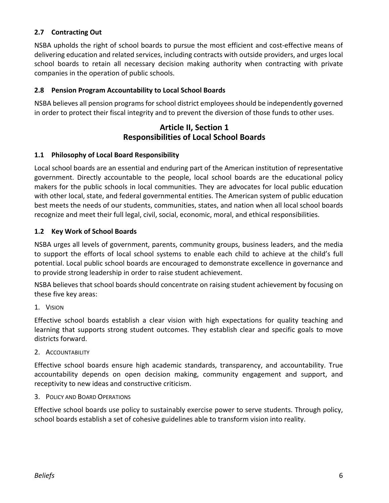#### **2.7 Contracting Out**

NSBA upholds the right of school boards to pursue the most efficient and cost-effective means of delivering education and related services, including contracts with outside providers, and urges local school boards to retain all necessary decision making authority when contracting with private companies in the operation of public schools.

#### **2.8 Pension Program Accountability to Local School Boards**

NSBA believes all pension programs for school district employees should be independently governed in order to protect their fiscal integrity and to prevent the diversion of those funds to other uses.

#### **Article II, Section 1 Responsibilities of Local School Boards**

#### **1.1 Philosophy of Local Board Responsibility**

Local school boards are an essential and enduring part of the American institution of representative government. Directly accountable to the people, local school boards are the educational policy makers for the public schools in local communities. They are advocates for local public education with other local, state, and federal governmental entities. The American system of public education best meets the needs of our students, communities, states, and nation when all local school boards recognize and meet their full legal, civil, social, economic, moral, and ethical responsibilities.

#### **1.2 Key Work of School Boards**

NSBA urges all levels of government, parents, community groups, business leaders, and the media to support the efforts of local school systems to enable each child to achieve at the child's full potential. Local public school boards are encouraged to demonstrate excellence in governance and to provide strong leadership in order to raise student achievement.

NSBA believes that school boards should concentrate on raising student achievement by focusing on these five key areas:

1. VISION

Effective school boards establish a clear vision with high expectations for quality teaching and learning that supports strong student outcomes. They establish clear and specific goals to move districts forward.

2. ACCOUNTABILITY

Effective school boards ensure high academic standards, transparency, and accountability. True accountability depends on open decision making, community engagement and support, and receptivity to new ideas and constructive criticism.

#### 3. POLICY AND BOARD OPERATIONS

Effective school boards use policy to sustainably exercise power to serve students. Through policy, school boards establish a set of cohesive guidelines able to transform vision into reality.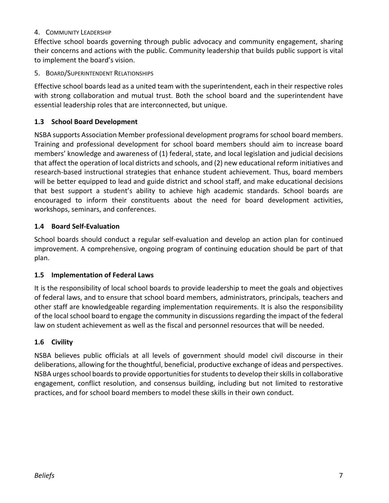#### 4. COMMUNITY LEADERSHIP

Effective school boards governing through public advocacy and community engagement, sharing their concerns and actions with the public. Community leadership that builds public support is vital to implement the board's vision.

#### 5. BOARD/SUPERINTENDENT RELATIONSHIPS

Effective school boards lead as a united team with the superintendent, each in their respective roles with strong collaboration and mutual trust. Both the school board and the superintendent have essential leadership roles that are interconnected, but unique.

#### **1.3 School Board Development**

NSBA supports Association Member professional development programs for school board members. Training and professional development for school board members should aim to increase board members' knowledge and awareness of (1) federal, state, and local legislation and judicial decisions that affect the operation of local districts and schools, and (2) new educational reform initiatives and research-based instructional strategies that enhance student achievement. Thus, board members will be better equipped to lead and guide district and school staff, and make educational decisions that best support a student's ability to achieve high academic standards. School boards are encouraged to inform their constituents about the need for board development activities, workshops, seminars, and conferences.

#### **1.4 Board Self-Evaluation**

School boards should conduct a regular self-evaluation and develop an action plan for continued improvement. A comprehensive, ongoing program of continuing education should be part of that plan.

#### **1.5 Implementation of Federal Laws**

It is the responsibility of local school boards to provide leadership to meet the goals and objectives of federal laws, and to ensure that school board members, administrators, principals, teachers and other staff are knowledgeable regarding implementation requirements. It is also the responsibility of the local school board to engage the community in discussions regarding the impact of the federal law on student achievement as well as the fiscal and personnel resources that will be needed.

#### **1.6 Civility**

NSBA believes public officials at all levels of government should model civil discourse in their deliberations, allowing for the thoughtful, beneficial, productive exchange of ideas and perspectives. NSBA urges school boards to provide opportunities for students to develop their skills in collaborative engagement, conflict resolution, and consensus building, including but not limited to restorative practices, and for school board members to model these skills in their own conduct.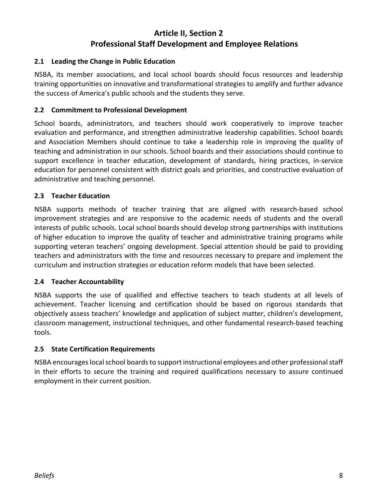# **Article II, Section 2 Professional Staff Development and Employee Relations**

#### **2.1 Leading the Change in Public Education**

NSBA, its member associations, and local school boards should focus resources and leadership training opportunities on innovative and transformational strategies to amplify and further advance the success of America's public schools and the students they serve.

#### **2.2 Commitment to Professional Development**

School boards, administrators, and teachers should work cooperatively to improve teacher evaluation and performance, and strengthen administrative leadership capabilities. School boards and Association Members should continue to take a leadership role in improving the quality of teaching and administration in our schools. School boards and their associations should continue to support excellence in teacher education, development of standards, hiring practices, in-service education for personnel consistent with district goals and priorities, and constructive evaluation of administrative and teaching personnel.

#### **2.3 Teacher Education**

NSBA supports methods of teacher training that are aligned with research-based school improvement strategies and are responsive to the academic needs of students and the overall interests of public schools. Local school boards should develop strong partnerships with institutions of higher education to improve the quality of teacher and administrative training programs while supporting veteran teachers' ongoing development. Special attention should be paid to providing teachers and administrators with the time and resources necessary to prepare and implement the curriculum and instruction strategies or education reform models that have been selected.

#### **2.4 Teacher Accountability**

NSBA supports the use of qualified and effective teachers to teach students at all levels of achievement. Teacher licensing and certification should be based on rigorous standards that objectively assess teachers' knowledge and application of subject matter, children's development, classroom management, instructional techniques, and other fundamental research-based teaching tools.

#### **2.5 State Certification Requirements**

NSBA encourages local school boards to support instructional employees and other professional staff in their efforts to secure the training and required qualifications necessary to assure continued employment in their current position.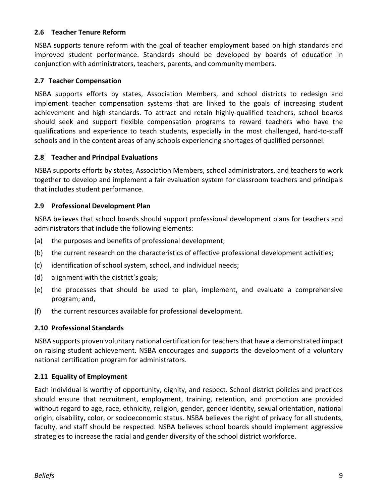#### **2.6 Teacher Tenure Reform**

NSBA supports tenure reform with the goal of teacher employment based on high standards and improved student performance. Standards should be developed by boards of education in conjunction with administrators, teachers, parents, and community members.

#### **2.7 Teacher Compensation**

NSBA supports efforts by states, Association Members, and school districts to redesign and implement teacher compensation systems that are linked to the goals of increasing student achievement and high standards. To attract and retain highly-qualified teachers, school boards should seek and support flexible compensation programs to reward teachers who have the qualifications and experience to teach students, especially in the most challenged, hard-to-staff schools and in the content areas of any schools experiencing shortages of qualified personnel.

#### **2.8 Teacher and Principal Evaluations**

NSBA supports efforts by states, Association Members, school administrators, and teachers to work together to develop and implement a fair evaluation system for classroom teachers and principals that includes student performance.

#### **2.9 Professional Development Plan**

NSBA believes that school boards should support professional development plans for teachers and administrators that include the following elements:

- (a) the purposes and benefits of professional development;
- (b) the current research on the characteristics of effective professional development activities;
- (c) identification of school system, school, and individual needs;
- (d) alignment with the district's goals;
- (e) the processes that should be used to plan, implement, and evaluate a comprehensive program; and,
- (f) the current resources available for professional development.

#### **2.10 Professional Standards**

NSBA supports proven voluntary national certification for teachers that have a demonstrated impact on raising student achievement. NSBA encourages and supports the development of a voluntary national certification program for administrators.

#### **2.11 Equality of Employment**

Each individual is worthy of opportunity, dignity, and respect. School district policies and practices should ensure that recruitment, employment, training, retention, and promotion are provided without regard to age, race, ethnicity, religion, gender, gender identity, sexual orientation, national origin, disability, color, or socioeconomic status. NSBA believes the right of privacy for all students, faculty, and staff should be respected. NSBA believes school boards should implement aggressive strategies to increase the racial and gender diversity of the school district workforce.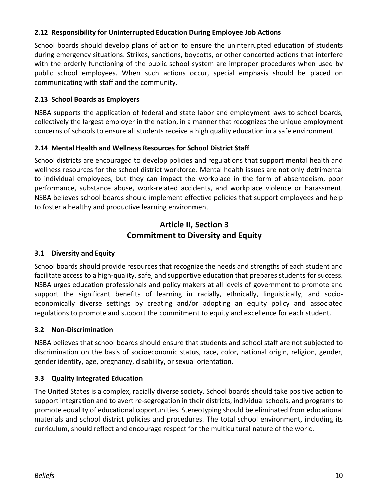#### **2.12 Responsibility for Uninterrupted Education During Employee Job Actions**

School boards should develop plans of action to ensure the uninterrupted education of students during emergency situations. Strikes, sanctions, boycotts, or other concerted actions that interfere with the orderly functioning of the public school system are improper procedures when used by public school employees. When such actions occur, special emphasis should be placed on communicating with staff and the community.

#### **2.13 School Boards as Employers**

NSBA supports the application of federal and state labor and employment laws to school boards, collectively the largest employer in the nation, in a manner that recognizes the unique employment concerns of schools to ensure all students receive a high quality education in a safe environment.

#### **2.14 Mental Health and Wellness Resources for School District Staff**

School districts are encouraged to develop policies and regulations that support mental health and wellness resources for the school district workforce. Mental health issues are not only detrimental to individual employees, but they can impact the workplace in the form of absenteeism, poor performance, substance abuse, work-related accidents, and workplace violence or harassment. NSBA believes school boards should implement effective policies that support employees and help to foster a healthy and productive learning environment

# **Article II, Section 3 Commitment to Diversity and Equity**

#### **3.1 Diversity and Equity**

School boards should provide resources that recognize the needs and strengths of each student and facilitate access to a high-quality, safe, and supportive education that prepares students for success. NSBA urges education professionals and policy makers at all levels of government to promote and support the significant benefits of learning in racially, ethnically, linguistically, and socioeconomically diverse settings by creating and/or adopting an equity policy and associated regulations to promote and support the commitment to equity and excellence for each student.

#### **3.2 Non-Discrimination**

NSBA believes that school boards should ensure that students and school staff are not subjected to discrimination on the basis of socioeconomic status, race, color, national origin, religion, gender, gender identity, age, pregnancy, disability, or sexual orientation.

#### **3.3 Quality Integrated Education**

The United States is a complex, racially diverse society. School boards should take positive action to support integration and to avert re-segregation in their districts, individual schools, and programs to promote equality of educational opportunities. Stereotyping should be eliminated from educational materials and school district policies and procedures. The total school environment, including its curriculum, should reflect and encourage respect for the multicultural nature of the world.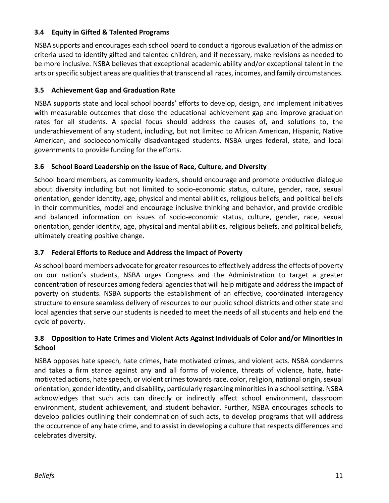#### **3.4 Equity in Gifted & Talented Programs**

NSBA supports and encourages each school board to conduct a rigorous evaluation of the admission criteria used to identify gifted and talented children, and if necessary, make revisions as needed to be more inclusive. NSBA believes that exceptional academic ability and/or exceptional talent in the arts or specific subject areas are qualities that transcend all races, incomes, and family circumstances.

#### **3.5 Achievement Gap and Graduation Rate**

NSBA supports state and local school boards' efforts to develop, design, and implement initiatives with measurable outcomes that close the educational achievement gap and improve graduation rates for all students. A special focus should address the causes of, and solutions to, the underachievement of any student, including, but not limited to African American, Hispanic, Native American, and socioeconomically disadvantaged students. NSBA urges federal, state, and local governments to provide funding for the efforts.

#### **3.6 School Board Leadership on the Issue of Race, Culture, and Diversity**

School board members, as community leaders, should encourage and promote productive dialogue about diversity including but not limited to socio-economic status, culture, gender, race, sexual orientation, gender identity, age, physical and mental abilities, religious beliefs, and political beliefs in their communities, model and encourage inclusive thinking and behavior, and provide credible and balanced information on issues of socio-economic status, culture, gender, race, sexual orientation, gender identity, age, physical and mental abilities, religious beliefs, and political beliefs, ultimately creating positive change.

#### **3.7 Federal Efforts to Reduce and Address the Impact of Poverty**

As school board members advocate for greater resources to effectively address the effects of poverty on our nation's students, NSBA urges Congress and the Administration to target a greater concentration of resources among federal agencies that will help mitigate and address the impact of poverty on students. NSBA supports the establishment of an effective, coordinated interagency structure to ensure seamless delivery of resources to our public school districts and other state and local agencies that serve our students is needed to meet the needs of all students and help end the cycle of poverty.

#### **3.8 Opposition to Hate Crimes and Violent Acts Against Individuals of Color and/or Minorities in School**

NSBA opposes hate speech, hate crimes, hate motivated crimes, and violent acts. NSBA condemns and takes a firm stance against any and all forms of violence, threats of violence, hate, hatemotivated actions, hate speech, or violent crimes towards race, color, religion, national origin, sexual orientation, gender identity, and disability, particularly regarding minorities in a school setting. NSBA acknowledges that such acts can directly or indirectly affect school environment, classroom environment, student achievement, and student behavior. Further, NSBA encourages schools to develop policies outlining their condemnation of such acts, to develop programs that will address the occurrence of any hate crime, and to assist in developing a culture that respects differences and celebrates diversity.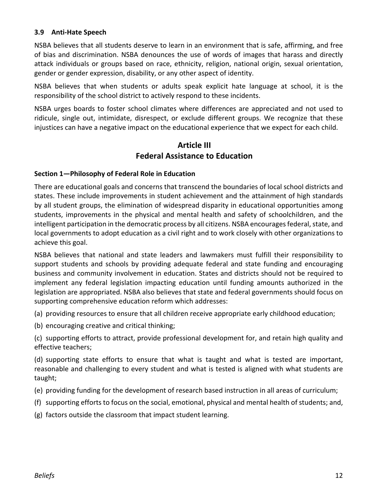#### **3.9 Anti-Hate Speech**

NSBA believes that all students deserve to learn in an environment that is safe, affirming, and free of bias and discrimination. NSBA denounces the use of words of images that harass and directly attack individuals or groups based on race, ethnicity, religion, national origin, sexual orientation, gender or gender expression, disability, or any other aspect of identity.

NSBA believes that when students or adults speak explicit hate language at school, it is the responsibility of the school district to actively respond to these incidents.

NSBA urges boards to foster school climates where differences are appreciated and not used to ridicule, single out, intimidate, disrespect, or exclude different groups. We recognize that these injustices can have a negative impact on the educational experience that we expect for each child.

#### **Article III Federal Assistance to Education**

#### **Section 1—Philosophy of Federal Role in Education**

There are educational goals and concerns that transcend the boundaries of local school districts and states. These include improvements in student achievement and the attainment of high standards by all student groups, the elimination of widespread disparity in educational opportunities among students, improvements in the physical and mental health and safety of schoolchildren, and the intelligent participation in the democratic process by all citizens. NSBA encourages federal, state, and local governments to adopt education as a civil right and to work closely with other organizations to achieve this goal.

NSBA believes that national and state leaders and lawmakers must fulfill their responsibility to support students and schools by providing adequate federal and state funding and encouraging business and community involvement in education. States and districts should not be required to implement any federal legislation impacting education until funding amounts authorized in the legislation are appropriated. NSBA also believes that state and federal governments should focus on supporting comprehensive education reform which addresses:

- (a) providing resources to ensure that all children receive appropriate early childhood education;
- (b) encouraging creative and critical thinking;

(c) supporting efforts to attract, provide professional development for, and retain high quality and effective teachers;

(d) supporting state efforts to ensure that what is taught and what is tested are important, reasonable and challenging to every student and what is tested is aligned with what students are taught;

- (e) providing funding for the development of research based instruction in all areas of curriculum;
- (f) supporting efforts to focus on the social, emotional, physical and mental health of students; and,
- (g) factors outside the classroom that impact student learning.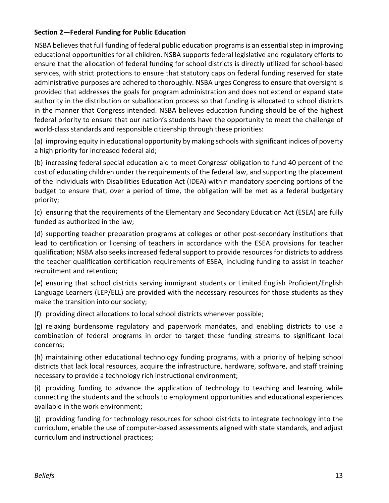#### **Section 2—Federal Funding for Public Education**

NSBA believes that full funding of federal public education programs is an essential step in improving educational opportunities for all children. NSBA supports federal legislative and regulatory efforts to ensure that the allocation of federal funding for school districts is directly utilized for school-based services, with strict protections to ensure that statutory caps on federal funding reserved for state administrative purposes are adhered to thoroughly. NSBA urges Congress to ensure that oversight is provided that addresses the goals for program administration and does not extend or expand state authority in the distribution or suballocation process so that funding is allocated to school districts in the manner that Congress intended. NSBA believes education funding should be of the highest federal priority to ensure that our nation's students have the opportunity to meet the challenge of world-class standards and responsible citizenship through these priorities:

(a) improving equity in educational opportunity by making schools with significant indices of poverty a high priority for increased federal aid;

(b) increasing federal special education aid to meet Congress' obligation to fund 40 percent of the cost of educating children under the requirements of the federal law, and supporting the placement of the Individuals with Disabilities Education Act (IDEA) within mandatory spending portions of the budget to ensure that, over a period of time, the obligation will be met as a federal budgetary priority;

(c) ensuring that the requirements of the Elementary and Secondary Education Act (ESEA) are fully funded as authorized in the law;

(d) supporting teacher preparation programs at colleges or other post-secondary institutions that lead to certification or licensing of teachers in accordance with the ESEA provisions for teacher qualification; NSBA also seeks increased federal support to provide resources for districts to address the teacher qualification certification requirements of ESEA, including funding to assist in teacher recruitment and retention;

(e) ensuring that school districts serving immigrant students or Limited English Proficient/English Language Learners (LEP/ELL) are provided with the necessary resources for those students as they make the transition into our society;

(f) providing direct allocations to local school districts whenever possible;

(g) relaxing burdensome regulatory and paperwork mandates, and enabling districts to use a combination of federal programs in order to target these funding streams to significant local concerns;

(h) maintaining other educational technology funding programs, with a priority of helping school districts that lack local resources, acquire the infrastructure, hardware, software, and staff training necessary to provide a technology rich instructional environment;

(i) providing funding to advance the application of technology to teaching and learning while connecting the students and the schools to employment opportunities and educational experiences available in the work environment;

(j) providing funding for technology resources for school districts to integrate technology into the curriculum, enable the use of computer-based assessments aligned with state standards, and adjust curriculum and instructional practices;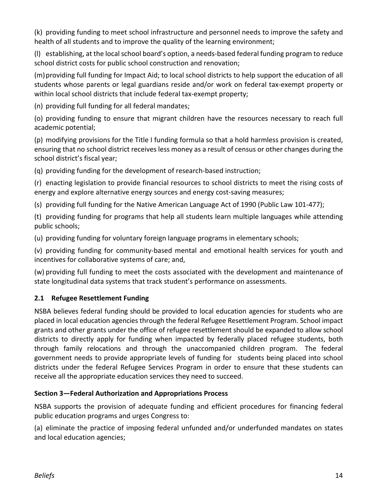(k) providing funding to meet school infrastructure and personnel needs to improve the safety and health of all students and to improve the quality of the learning environment;

(l) establishing, at the local school board's option, a needs-based federal funding program to reduce school district costs for public school construction and renovation;

(m)providing full funding for Impact Aid; to local school districts to help support the education of all students whose parents or legal guardians reside and/or work on federal tax-exempt property or within local school districts that include federal tax-exempt property;

(n) providing full funding for all federal mandates;

(o) providing funding to ensure that migrant children have the resources necessary to reach full academic potential;

(p) modifying provisions for the Title I funding formula so that a hold harmless provision is created, ensuring that no school district receives less money as a result of census or other changes during the school district's fiscal year;

(q) providing funding for the development of research-based instruction;

(r) enacting legislation to provide financial resources to school districts to meet the rising costs of energy and explore alternative energy sources and energy cost-saving measures;

(s) providing full funding for the Native American Language Act of 1990 (Public Law 101-477);

(t) providing funding for programs that help all students learn multiple languages while attending public schools;

(u) providing funding for voluntary foreign language programs in elementary schools;

(v) providing funding for community-based mental and emotional health services for youth and incentives for collaborative systems of care; and,

(w) providing full funding to meet the costs associated with the development and maintenance of state longitudinal data systems that track student's performance on assessments.

#### **2.1 Refugee Resettlement Funding**

NSBA believes federal funding should be provided to local education agencies for students who are placed in local education agencies through the federal Refugee Resettlement Program. School impact grants and other grants under the office of refugee resettlement should be expanded to allow school districts to directly apply for funding when impacted by federally placed refugee students, both through family relocations and through the unaccompanied children program. The federal government needs to provide appropriate levels of funding for students being placed into school districts under the federal Refugee Services Program in order to ensure that these students can receive all the appropriate education services they need to succeed.

#### **Section 3—Federal Authorization and Appropriations Process**

NSBA supports the provision of adequate funding and efficient procedures for financing federal public education programs and urges Congress to:

(a) eliminate the practice of imposing federal unfunded and/or underfunded mandates on states and local education agencies;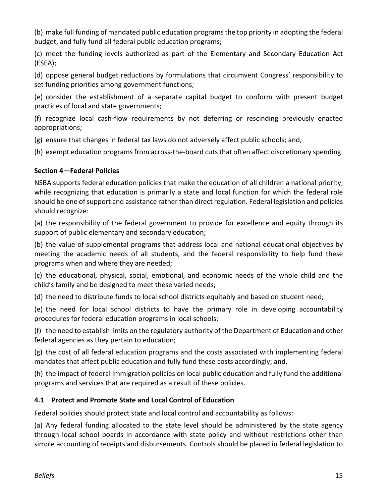(b) make full funding of mandated public education programs the top priority in adopting the federal budget, and fully fund all federal public education programs;

(c) meet the funding levels authorized as part of the Elementary and Secondary Education Act (ESEA);

(d) oppose general budget reductions by formulations that circumvent Congress' responsibility to set funding priorities among government functions;

(e) consider the establishment of a separate capital budget to conform with present budget practices of local and state governments;

(f) recognize local cash-flow requirements by not deferring or rescinding previously enacted appropriations;

(g) ensure that changes in federal tax laws do not adversely affect public schools; and,

(h) exempt education programs from across-the-board cuts that often affect discretionary spending.

#### **Section 4—Federal Policies**

NSBA supports federal education policies that make the education of all children a national priority, while recognizing that education is primarily a state and local function for which the federal role should be one of support and assistance rather than direct regulation. Federal legislation and policies should recognize:

(a) the responsibility of the federal government to provide for excellence and equity through its support of public elementary and secondary education;

(b) the value of supplemental programs that address local and national educational objectives by meeting the academic needs of all students, and the federal responsibility to help fund these programs when and where they are needed;

(c) the educational, physical, social, emotional, and economic needs of the whole child and the child's family and be designed to meet these varied needs;

(d) the need to distribute funds to local school districts equitably and based on student need;

(e) the need for local school districts to have the primary role in developing accountability procedures for federal education programs in local schools;

(f) the need to establish limits on the regulatory authority of the Department of Education and other federal agencies as they pertain to education;

(g) the cost of all federal education programs and the costs associated with implementing federal mandates that affect public education and fully fund these costs accordingly; and,

(h) the impact of federal immigration policies on local public education and fully fund the additional programs and services that are required as a result of these policies.

#### **4.1 Protect and Promote State and Local Control of Education**

Federal policies should protect state and local control and accountability as follows:

(a) Any federal funding allocated to the state level should be administered by the state agency through local school boards in accordance with state policy and without restrictions other than simple accounting of receipts and disbursements. Controls should be placed in federal legislation to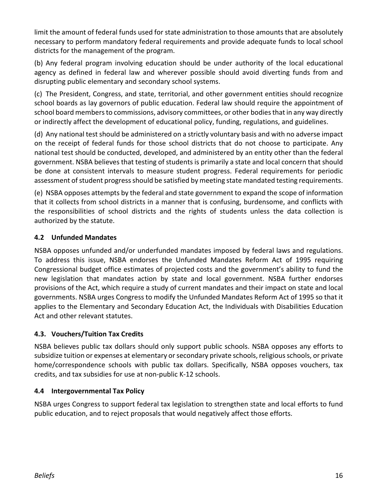limit the amount of federal funds used for state administration to those amounts that are absolutely necessary to perform mandatory federal requirements and provide adequate funds to local school districts for the management of the program.

(b) Any federal program involving education should be under authority of the local educational agency as defined in federal law and wherever possible should avoid diverting funds from and disrupting public elementary and secondary school systems.

(c) The President, Congress, and state, territorial, and other government entities should recognize school boards as lay governors of public education. Federal law should require the appointment of school board members to commissions, advisory committees, or other bodies that in any way directly or indirectly affect the development of educational policy, funding, regulations, and guidelines.

(d) Any national test should be administered on a strictly voluntary basis and with no adverse impact on the receipt of federal funds for those school districts that do not choose to participate. Any national test should be conducted, developed, and administered by an entity other than the federal government. NSBA believes that testing of students is primarily a state and local concern that should be done at consistent intervals to measure student progress. Federal requirements for periodic assessment of student progress should be satisfied by meeting state mandated testing requirements.

(e) NSBA opposes attempts by the federal and state government to expand the scope of information that it collects from school districts in a manner that is confusing, burdensome, and conflicts with the responsibilities of school districts and the rights of students unless the data collection is authorized by the statute.

#### **4.2 Unfunded Mandates**

NSBA opposes unfunded and/or underfunded mandates imposed by federal laws and regulations. To address this issue, NSBA endorses the Unfunded Mandates Reform Act of 1995 requiring Congressional budget office estimates of projected costs and the government's ability to fund the new legislation that mandates action by state and local government. NSBA further endorses provisions of the Act, which require a study of current mandates and their impact on state and local governments. NSBA urges Congress to modify the Unfunded Mandates Reform Act of 1995 so that it applies to the Elementary and Secondary Education Act, the Individuals with Disabilities Education Act and other relevant statutes.

#### **4.3. Vouchers/Tuition Tax Credits**

NSBA believes public tax dollars should only support public schools. NSBA opposes any efforts to subsidize tuition or expenses at elementary or secondary private schools, religious schools, or private home/correspondence schools with public tax dollars. Specifically, NSBA opposes vouchers, tax credits, and tax subsidies for use at non-public K-12 schools.

#### **4.4 Intergovernmental Tax Policy**

NSBA urges Congress to support federal tax legislation to strengthen state and local efforts to fund public education, and to reject proposals that would negatively affect those efforts.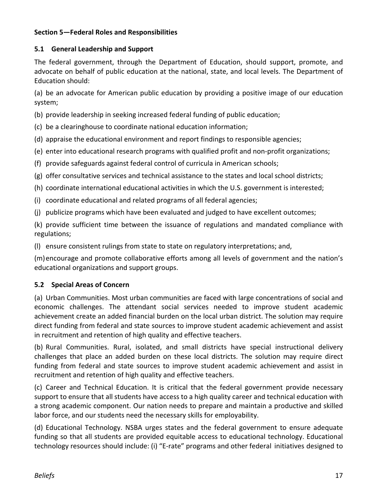#### **Section 5—Federal Roles and Responsibilities**

#### **5.1 General Leadership and Support**

The federal government, through the Department of Education, should support, promote, and advocate on behalf of public education at the national, state, and local levels. The Department of Education should:

(a) be an advocate for American public education by providing a positive image of our education system;

- (b) provide leadership in seeking increased federal funding of public education;
- (c) be a clearinghouse to coordinate national education information;
- (d) appraise the educational environment and report findings to responsible agencies;
- (e) enter into educational research programs with qualified profit and non-profit organizations;
- (f) provide safeguards against federal control of curricula in American schools;
- (g) offer consultative services and technical assistance to the states and local school districts;
- (h) coordinate international educational activities in which the U.S. government is interested;
- (i) coordinate educational and related programs of all federal agencies;
- (j) publicize programs which have been evaluated and judged to have excellent outcomes;

(k) provide sufficient time between the issuance of regulations and mandated compliance with regulations;

(l) ensure consistent rulings from state to state on regulatory interpretations; and,

(m)encourage and promote collaborative efforts among all levels of government and the nation's educational organizations and support groups.

#### **5.2 Special Areas of Concern**

(a) Urban Communities. Most urban communities are faced with large concentrations of social and economic challenges. The attendant social services needed to improve student academic achievement create an added financial burden on the local urban district. The solution may require direct funding from federal and state sources to improve student academic achievement and assist in recruitment and retention of high quality and effective teachers.

(b) Rural Communities. Rural, isolated, and small districts have special instructional delivery challenges that place an added burden on these local districts. The solution may require direct funding from federal and state sources to improve student academic achievement and assist in recruitment and retention of high quality and effective teachers.

(c) Career and Technical Education. It is critical that the federal government provide necessary support to ensure that all students have access to a high quality career and technical education with a strong academic component. Our nation needs to prepare and maintain a productive and skilled labor force, and our students need the necessary skills for employability.

(d) Educational Technology. NSBA urges states and the federal government to ensure adequate funding so that all students are provided equitable access to educational technology. Educational technology resources should include: (i) "E-rate" programs and other federal initiatives designed to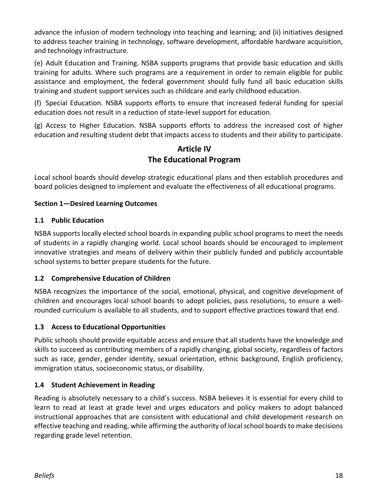advance the infusion of modern technology into teaching and learning; and (ii) initiatives designed to address teacher training in technology, software development, affordable hardware acquisition, and technology infrastructure.

(e) Adult Education and Training. NSBA supports programs that provide basic education and skills training for adults. Where such programs are a requirement in order to remain eligible for public assistance and employment, the federal government should fully fund all basic education skills training and student support services such as childcare and early childhood education.

(f) Special Education. NSBA supports efforts to ensure that increased federal funding for special education does not result in a reduction of state-level support for education.

(g) Access to Higher Education. NSBA supports efforts to address the increased cost of higher education and resulting student debt that impacts access to students and their ability to participate.

# **Article IV The Educational Program**

Local school boards should develop strategic educational plans and then establish procedures and board policies designed to implement and evaluate the effectiveness of all educational programs.

#### **Section 1—Desired Learning Outcomes**

#### **1.1 Public Education**

NSBA supports locally elected school boards in expanding public school programs to meet the needs of students in a rapidly changing world. Local school boards should be encouraged to implement innovative strategies and means of delivery within their publicly funded and publicly accountable school systems to better prepare students for the future.

#### **1.2 Comprehensive Education of Children**

NSBA recognizes the importance of the social, emotional, physical, and cognitive development of children and encourages local school boards to adopt policies, pass resolutions, to ensure a wellrounded curriculum is available to all students, and to support effective practices toward that end.

#### **1.3 Access to Educational Opportunities**

Public schools should provide equitable access and ensure that all students have the knowledge and skills to succeed as contributing members of a rapidly changing, global society, regardless of factors such as race, gender, gender identity, sexual orientation, ethnic background, English proficiency, immigration status, socioeconomic status, or disability.

#### **1.4 Student Achievement in Reading**

Reading is absolutely necessary to a child's success. NSBA believes it is essential for every child to learn to read at least at grade level and urges educators and policy makers to adopt balanced instructional approaches that are consistent with educational and child development research on effective teaching and reading, while affirming the authority of local school boards to make decisions regarding grade level retention.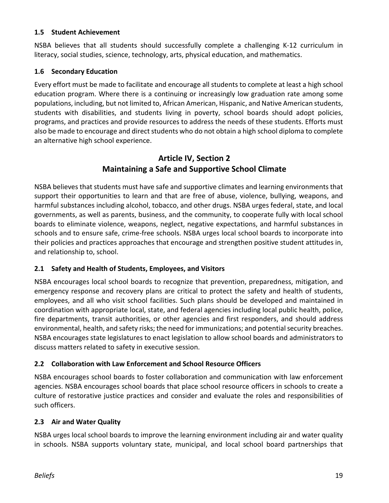#### **1.5 Student Achievement**

NSBA believes that all students should successfully complete a challenging K-12 curriculum in literacy, social studies, science, technology, arts, physical education, and mathematics.

#### **1.6 Secondary Education**

Every effort must be made to facilitate and encourage all students to complete at least a high school education program. Where there is a continuing or increasingly low graduation rate among some populations, including, but not limited to, African American, Hispanic, and Native American students, students with disabilities, and students living in poverty, school boards should adopt policies, programs, and practices and provide resources to address the needs of these students. Efforts must also be made to encourage and direct students who do not obtain a high school diploma to complete an alternative high school experience.

# **Article IV, Section 2 Maintaining a Safe and Supportive School Climate**

NSBA believes that students must have safe and supportive climates and learning environments that support their opportunities to learn and that are free of abuse, violence, bullying, weapons, and harmful substances including alcohol, tobacco, and other drugs. NSBA urges federal, state, and local governments, as well as parents, business, and the community, to cooperate fully with local school boards to eliminate violence, weapons, neglect, negative expectations, and harmful substances in schools and to ensure safe, crime-free schools. NSBA urges local school boards to incorporate into their policies and practices approaches that encourage and strengthen positive student attitudes in, and relationship to, school.

#### **2.1 Safety and Health of Students, Employees, and Visitors**

NSBA encourages local school boards to recognize that prevention, preparedness, mitigation, and emergency response and recovery plans are critical to protect the safety and health of students, employees, and all who visit school facilities. Such plans should be developed and maintained in coordination with appropriate local, state, and federal agencies including local public health, police, fire departments, transit authorities, or other agencies and first responders, and should address environmental, health, and safety risks; the need for immunizations; and potential security breaches. NSBA encourages state legislatures to enact legislation to allow school boards and administrators to discuss matters related to safety in executive session.

#### **2.2 Collaboration with Law Enforcement and School Resource Officers**

NSBA encourages school boards to foster collaboration and communication with law enforcement agencies. NSBA encourages school boards that place school resource officers in schools to create a culture of restorative justice practices and consider and evaluate the roles and responsibilities of such officers.

#### **2.3 Air and Water Quality**

NSBA urges local school boards to improve the learning environment including air and water quality in schools. NSBA supports voluntary state, municipal, and local school board partnerships that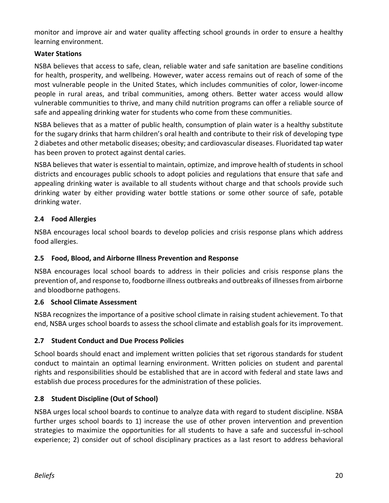monitor and improve air and water quality affecting school grounds in order to ensure a healthy learning environment.

#### **Water Stations**

NSBA believes that access to safe, clean, reliable water and safe sanitation are baseline conditions for health, prosperity, and wellbeing. However, water access remains out of reach of some of the most vulnerable people in the United States, which includes communities of color, lower-income people in rural areas, and tribal communities, among others. Better water access would allow vulnerable communities to thrive, and many child nutrition programs can offer a reliable source of safe and appealing drinking water for students who come from these communities.

NSBA believes that as a matter of public health, consumption of plain water is a healthy substitute for the sugary drinks that harm children's oral health and contribute to their risk of developing type 2 diabetes and other metabolic diseases; obesity; and cardiovascular diseases. Fluoridated tap water has been proven to protect against dental caries.

NSBA believes that water is essential to maintain, optimize, and improve health of students in school districts and encourages public schools to adopt policies and regulations that ensure that safe and appealing drinking water is available to all students without charge and that schools provide such drinking water by either providing water bottle stations or some other source of safe, potable drinking water.

#### **2.4 Food Allergies**

NSBA encourages local school boards to develop policies and crisis response plans which address food allergies.

#### **2.5 Food, Blood, and Airborne Illness Prevention and Response**

NSBA encourages local school boards to address in their policies and crisis response plans the prevention of, and response to, foodborne illness outbreaks and outbreaks of illnesses from airborne and bloodborne pathogens.

#### **2.6 School Climate Assessment**

NSBA recognizes the importance of a positive school climate in raising student achievement. To that end, NSBA urges school boards to assess the school climate and establish goals for its improvement.

#### **2.7 Student Conduct and Due Process Policies**

School boards should enact and implement written policies that set rigorous standards for student conduct to maintain an optimal learning environment. Written policies on student and parental rights and responsibilities should be established that are in accord with federal and state laws and establish due process procedures for the administration of these policies.

#### **2.8 Student Discipline (Out of School)**

NSBA urges local school boards to continue to analyze data with regard to student discipline. NSBA further urges school boards to 1) increase the use of other proven intervention and prevention strategies to maximize the opportunities for all students to have a safe and successful in-school experience; 2) consider out of school disciplinary practices as a last resort to address behavioral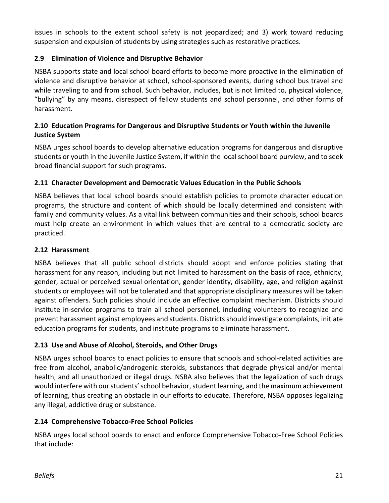issues in schools to the extent school safety is not jeopardized; and 3) work toward reducing suspension and expulsion of students by using strategies such as restorative practices.

#### **2.9 Elimination of Violence and Disruptive Behavior**

NSBA supports state and local school board efforts to become more proactive in the elimination of violence and disruptive behavior at school, school-sponsored events, during school bus travel and while traveling to and from school. Such behavior, includes, but is not limited to, physical violence, "bullying" by any means, disrespect of fellow students and school personnel, and other forms of harassment.

#### **2.10 Education Programs for Dangerous and Disruptive Students or Youth within the Juvenile Justice System**

NSBA urges school boards to develop alternative education programs for dangerous and disruptive students or youth in the Juvenile Justice System, if within the local school board purview, and to seek broad financial support for such programs.

#### **2.11 Character Development and Democratic Values Education in the Public Schools**

NSBA believes that local school boards should establish policies to promote character education programs, the structure and content of which should be locally determined and consistent with family and community values. As a vital link between communities and their schools, school boards must help create an environment in which values that are central to a democratic society are practiced.

#### **2.12 Harassment**

NSBA believes that all public school districts should adopt and enforce policies stating that harassment for any reason, including but not limited to harassment on the basis of race, ethnicity, gender, actual or perceived sexual orientation, gender identity, disability, age, and religion against students or employees will not be tolerated and that appropriate disciplinary measures will be taken against offenders. Such policies should include an effective complaint mechanism. Districts should institute in-service programs to train all school personnel, including volunteers to recognize and prevent harassment against employees and students. Districts should investigate complaints, initiate education programs for students, and institute programs to eliminate harassment.

#### **2.13 Use and Abuse of Alcohol, Steroids, and Other Drugs**

NSBA urges school boards to enact policies to ensure that schools and school-related activities are free from alcohol, anabolic/androgenic steroids, substances that degrade physical and/or mental health, and all unauthorized or illegal drugs. NSBA also believes that the legalization of such drugs would interfere with our students' school behavior, student learning, and the maximum achievement of learning, thus creating an obstacle in our efforts to educate. Therefore, NSBA opposes legalizing any illegal, addictive drug or substance.

#### **2.14 Comprehensive Tobacco-Free School Policies**

NSBA urges local school boards to enact and enforce Comprehensive Tobacco-Free School Policies that include: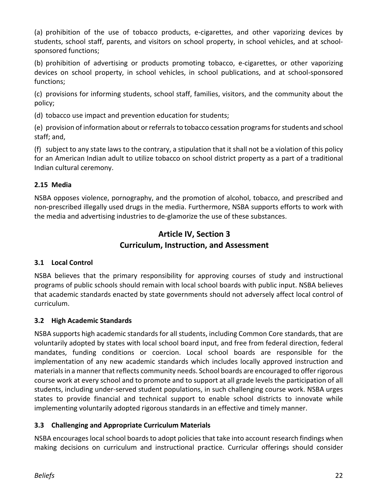(a) prohibition of the use of tobacco products, e-cigarettes, and other vaporizing devices by students, school staff, parents, and visitors on school property, in school vehicles, and at schoolsponsored functions;

(b) prohibition of advertising or products promoting tobacco, e-cigarettes, or other vaporizing devices on school property, in school vehicles, in school publications, and at school-sponsored functions;

(c) provisions for informing students, school staff, families, visitors, and the community about the policy;

(d) tobacco use impact and prevention education for students;

(e) provision of information about or referrals to tobacco cessation programs for students and school staff; and,

(f) subject to any state laws to the contrary, a stipulation that it shall not be a violation of this policy for an American Indian adult to utilize tobacco on school district property as a part of a traditional Indian cultural ceremony.

#### **2.15 Media**

NSBA opposes violence, pornography, and the promotion of alcohol, tobacco, and prescribed and non-prescribed illegally used drugs in the media. Furthermore, NSBA supports efforts to work with the media and advertising industries to de-glamorize the use of these substances.

# **Article IV, Section 3 Curriculum, Instruction, and Assessment**

#### **3.1 Local Control**

NSBA believes that the primary responsibility for approving courses of study and instructional programs of public schools should remain with local school boards with public input. NSBA believes that academic standards enacted by state governments should not adversely affect local control of curriculum.

#### **3.2 High Academic Standards**

NSBA supports high academic standards for all students, including Common Core standards, that are voluntarily adopted by states with local school board input, and free from federal direction, federal mandates, funding conditions or coercion. Local school boards are responsible for the implementation of any new academic standards which includes locally approved instruction and materials in a manner that reflects community needs. School boards are encouraged to offer rigorous course work at every school and to promote and to support at all grade levels the participation of all students, including under-served student populations, in such challenging course work. NSBA urges states to provide financial and technical support to enable school districts to innovate while implementing voluntarily adopted rigorous standards in an effective and timely manner.

#### **3.3 Challenging and Appropriate Curriculum Materials**

NSBA encourages local school boards to adopt policies that take into account research findings when making decisions on curriculum and instructional practice. Curricular offerings should consider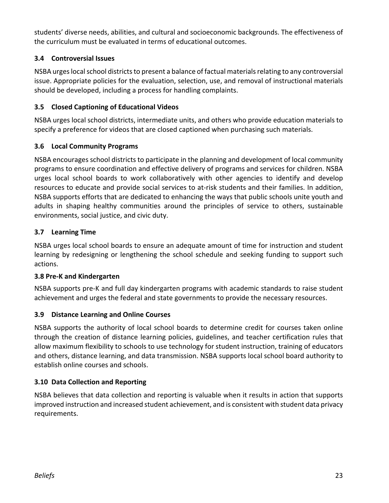students' diverse needs, abilities, and cultural and socioeconomic backgrounds. The effectiveness of the curriculum must be evaluated in terms of educational outcomes.

#### **3.4 Controversial Issues**

NSBA urges local school districts to present a balance of factual materials relating to any controversial issue. Appropriate policies for the evaluation, selection, use, and removal of instructional materials should be developed, including a process for handling complaints.

#### **3.5 Closed Captioning of Educational Videos**

NSBA urges local school districts, intermediate units, and others who provide education materials to specify a preference for videos that are closed captioned when purchasing such materials.

#### **3.6 Local Community Programs**

NSBA encourages school districts to participate in the planning and development of local community programs to ensure coordination and effective delivery of programs and services for children. NSBA urges local school boards to work collaboratively with other agencies to identify and develop resources to educate and provide social services to at-risk students and their families. In addition, NSBA supports efforts that are dedicated to enhancing the ways that public schools unite youth and adults in shaping healthy communities around the principles of service to others, sustainable environments, social justice, and civic duty.

#### **3.7 Learning Time**

NSBA urges local school boards to ensure an adequate amount of time for instruction and student learning by redesigning or lengthening the school schedule and seeking funding to support such actions.

#### **3.8 Pre-K and Kindergarten**

NSBA supports pre-K and full day kindergarten programs with academic standards to raise student achievement and urges the federal and state governments to provide the necessary resources.

#### **3.9 Distance Learning and Online Courses**

NSBA supports the authority of local school boards to determine credit for courses taken online through the creation of distance learning policies, guidelines, and teacher certification rules that allow maximum flexibility to schools to use technology for student instruction, training of educators and others, distance learning, and data transmission. NSBA supports local school board authority to establish online courses and schools.

#### **3.10 Data Collection and Reporting**

NSBA believes that data collection and reporting is valuable when it results in action that supports improved instruction and increased student achievement, and is consistent with student data privacy requirements.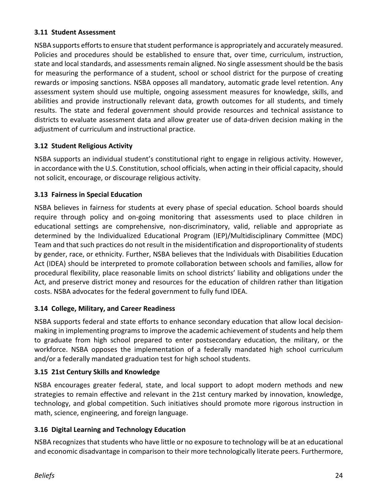#### **3.11 Student Assessment**

NSBA supports efforts to ensure that student performance is appropriately and accurately measured. Policies and procedures should be established to ensure that, over time, curriculum, instruction, state and local standards, and assessments remain aligned. No single assessment should be the basis for measuring the performance of a student, school or school district for the purpose of creating rewards or imposing sanctions. NSBA opposes all mandatory, automatic grade level retention. Any assessment system should use multiple, ongoing assessment measures for knowledge, skills, and abilities and provide instructionally relevant data, growth outcomes for all students, and timely results. The state and federal government should provide resources and technical assistance to districts to evaluate assessment data and allow greater use of data-driven decision making in the adjustment of curriculum and instructional practice.

#### **3.12 Student Religious Activity**

NSBA supports an individual student's constitutional right to engage in religious activity. However, in accordance with the U.S. Constitution, school officials, when acting in their official capacity, should not solicit, encourage, or discourage religious activity.

#### **3.13 Fairness in Special Education**

NSBA believes in fairness for students at every phase of special education. School boards should require through policy and on-going monitoring that assessments used to place children in educational settings are comprehensive, non-discriminatory, valid, reliable and appropriate as determined by the Individualized Educational Program (IEP)/Multidisciplinary Committee (MDC) Team and that such practices do not result in the misidentification and disproportionality of students by gender, race, or ethnicity. Further, NSBA believes that the Individuals with Disabilities Education Act (IDEA) should be interpreted to promote collaboration between schools and families, allow for procedural flexibility, place reasonable limits on school districts' liability and obligations under the Act, and preserve district money and resources for the education of children rather than litigation costs. NSBA advocates for the federal government to fully fund IDEA.

#### **3.14 College, Military, and Career Readiness**

NSBA supports federal and state efforts to enhance secondary education that allow local decisionmaking in implementing programs to improve the academic achievement of students and help them to graduate from high school prepared to enter postsecondary education, the military, or the workforce. NSBA opposes the implementation of a federally mandated high school curriculum and/or a federally mandated graduation test for high school students.

#### **3.15 21st Century Skills and Knowledge**

NSBA encourages greater federal, state, and local support to adopt modern methods and new strategies to remain effective and relevant in the 21st century marked by innovation, knowledge, technology, and global competition. Such initiatives should promote more rigorous instruction in math, science, engineering, and foreign language.

#### **3.16 Digital Learning and Technology Education**

NSBA recognizes that students who have little or no exposure to technology will be at an educational and economic disadvantage in comparison to their more technologically literate peers. Furthermore,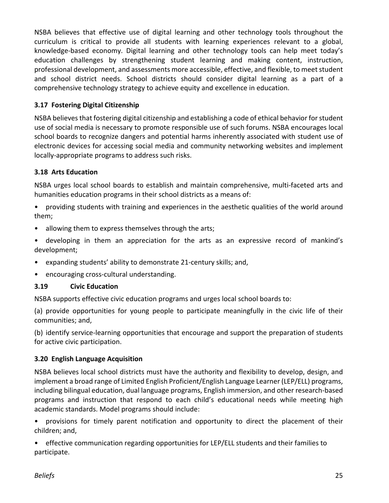NSBA believes that effective use of digital learning and other technology tools throughout the curriculum is critical to provide all students with learning experiences relevant to a global, knowledge-based economy. Digital learning and other technology tools can help meet today's education challenges by strengthening student learning and making content, instruction, professional development, and assessments more accessible, effective, and flexible, to meet student and school district needs. School districts should consider digital learning as a part of a comprehensive technology strategy to achieve equity and excellence in education.

#### **3.17 Fostering Digital Citizenship**

NSBA believes that fostering digital citizenship and establishing a code of ethical behavior for student use of social media is necessary to promote responsible use of such forums. NSBA encourages local school boards to recognize dangers and potential harms inherently associated with student use of electronic devices for accessing social media and community networking websites and implement locally-appropriate programs to address such risks.

#### **3.18 Arts Education**

NSBA urges local school boards to establish and maintain comprehensive, multi-faceted arts and humanities education programs in their school districts as a means of:

• providing students with training and experiences in the aesthetic qualities of the world around them;

- allowing them to express themselves through the arts;
- developing in them an appreciation for the arts as an expressive record of mankind's development;
- expanding students' ability to demonstrate 21-century skills; and,
- encouraging cross-cultural understanding.

#### **3.19 Civic Education**

NSBA supports effective civic education programs and urges local school boards to:

(a) provide opportunities for young people to participate meaningfully in the civic life of their communities; and,

(b) identify service-learning opportunities that encourage and support the preparation of students for active civic participation.

#### **3.20 English Language Acquisition**

NSBA believes local school districts must have the authority and flexibility to develop, design, and implement a broad range of Limited English Proficient/English Language Learner (LEP/ELL) programs, including bilingual education, dual language programs, English immersion, and other research-based programs and instruction that respond to each child's educational needs while meeting high academic standards. Model programs should include:

• provisions for timely parent notification and opportunity to direct the placement of their children; and,

• effective communication regarding opportunities for LEP/ELL students and their families to participate.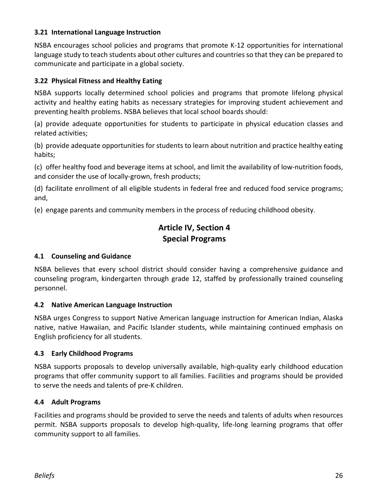#### **3.21 International Language Instruction**

NSBA encourages school policies and programs that promote K-12 opportunities for international language study to teach students about other cultures and countries so that they can be prepared to communicate and participate in a global society.

#### **3.22 Physical Fitness and Healthy Eating**

NSBA supports locally determined school policies and programs that promote lifelong physical activity and healthy eating habits as necessary strategies for improving student achievement and preventing health problems. NSBA believes that local school boards should:

(a) provide adequate opportunities for students to participate in physical education classes and related activities;

(b) provide adequate opportunities for students to learn about nutrition and practice healthy eating habits;

(c) offer healthy food and beverage items at school, and limit the availability of low-nutrition foods, and consider the use of locally-grown, fresh products;

(d) facilitate enrollment of all eligible students in federal free and reduced food service programs; and,

(e) engage parents and community members in the process of reducing childhood obesity.

# **Article IV, Section 4 Special Programs**

#### **4.1 Counseling and Guidance**

NSBA believes that every school district should consider having a comprehensive guidance and counseling program, kindergarten through grade 12, staffed by professionally trained counseling personnel.

#### **4.2 Native American Language Instruction**

NSBA urges Congress to support Native American language instruction for American Indian, Alaska native, native Hawaiian, and Pacific Islander students, while maintaining continued emphasis on English proficiency for all students.

#### **4.3 Early Childhood Programs**

NSBA supports proposals to develop universally available, high-quality early childhood education programs that offer community support to all families. Facilities and programs should be provided to serve the needs and talents of pre-K children.

#### **4.4 Adult Programs**

Facilities and programs should be provided to serve the needs and talents of adults when resources permit. NSBA supports proposals to develop high-quality, life-long learning programs that offer community support to all families.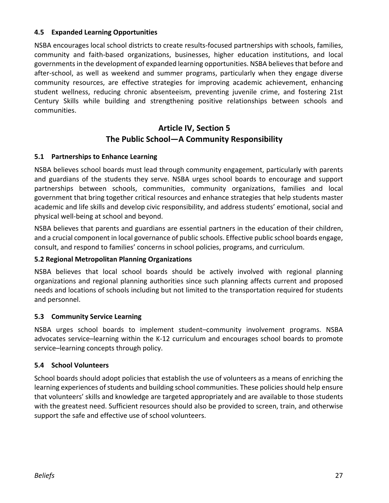#### **4.5 Expanded Learning Opportunities**

NSBA encourages local school districts to create results-focused partnerships with schools, families, community and faith-based organizations, businesses, higher education institutions, and local governmentsin the development of expanded learning opportunities. NSBA believes that before and after-school, as well as weekend and summer programs, particularly when they engage diverse community resources, are effective strategies for improving academic achievement, enhancing student wellness, reducing chronic absenteeism, preventing juvenile crime, and fostering 21st Century Skills while building and strengthening positive relationships between schools and communities.

# **Article IV, Section 5 The Public School—A Community Responsibility**

#### **5.1 Partnerships to Enhance Learning**

NSBA believes school boards must lead through community engagement, particularly with parents and guardians of the students they serve. NSBA urges school boards to encourage and support partnerships between schools, communities, community organizations, families and local government that bring together critical resources and enhance strategies that help students master academic and life skills and develop civic responsibility, and address students' emotional, social and physical well-being at school and beyond.

NSBA believes that parents and guardians are essential partners in the education of their children, and a crucial component in local governance of public schools. Effective public school boards engage, consult, and respond to families' concerns in school policies, programs, and curriculum.

#### **5.2 Regional Metropolitan Planning Organizations**

NSBA believes that local school boards should be actively involved with regional planning organizations and regional planning authorities since such planning affects current and proposed needs and locations of schools including but not limited to the transportation required for students and personnel.

#### **5.3 Community Service Learning**

NSBA urges school boards to implement student–community involvement programs. NSBA advocates service–learning within the K-12 curriculum and encourages school boards to promote service–learning concepts through policy.

#### **5.4 School Volunteers**

School boards should adopt policies that establish the use of volunteers as a means of enriching the learning experiences of students and building school communities. These policies should help ensure that volunteers' skills and knowledge are targeted appropriately and are available to those students with the greatest need. Sufficient resources should also be provided to screen, train, and otherwise support the safe and effective use of school volunteers.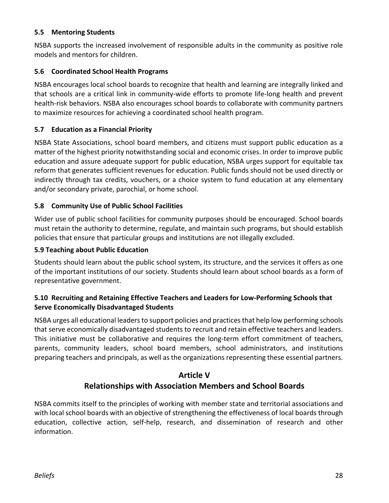#### **5.5 Mentoring Students**

NSBA supports the increased involvement of responsible adults in the community as positive role models and mentors for children.

#### **5.6 Coordinated School Health Programs**

NSBA encourages local school boards to recognize that health and learning are integrally linked and that schools are a critical link in community-wide efforts to promote life-long health and prevent health-risk behaviors. NSBA also encourages school boards to collaborate with community partners to maximize resources for achieving a coordinated school health program.

#### **5.7 Education as a Financial Priority**

NSBA State Associations, school board members, and citizens must support public education as a matter of the highest priority notwithstanding social and economic crises. In order to improve public education and assure adequate support for public education, NSBA urges support for equitable tax reform that generates sufficient revenues for education. Public funds should not be used directly or indirectly through tax credits, vouchers, or a choice system to fund education at any elementary and/or secondary private, parochial, or home school.

#### **5.8 Community Use of Public School Facilities**

Wider use of public school facilities for community purposes should be encouraged. School boards must retain the authority to determine, regulate, and maintain such programs, but should establish policies that ensure that particular groups and institutions are not illegally excluded.

#### **5.9 Teaching about Public Education**

Students should learn about the public school system, its structure, and the services it offers as one of the important institutions of our society. Students should learn about school boards as a form of representative government.

#### **5.10 Recruiting and Retaining Effective Teachers and Leaders for Low-Performing Schools that Serve Economically Disadvantaged Students**

NSBA urges all educational leaders to support policies and practices that help low performing schools that serve economically disadvantaged students to recruit and retain effective teachers and leaders. This initiative must be collaborative and requires the long-term effort commitment of teachers, parents, community leaders, school board members, school administrators, and institutions preparing teachers and principals, as well as the organizations representing these essential partners.

# **Article V Relationships with Association Members and School Boards**

NSBA commits itself to the principles of working with member state and territorial associations and with local school boards with an objective of strengthening the effectiveness of local boards through education, collective action, self-help, research, and dissemination of research and other information.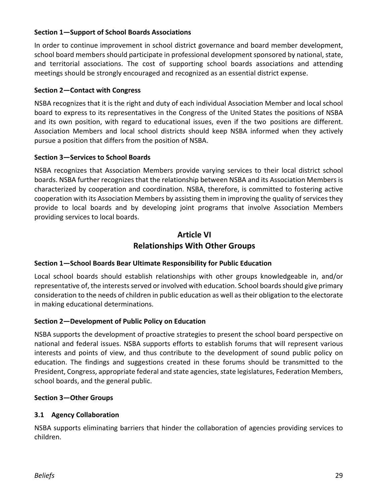#### **Section 1—Support of School Boards Associations**

In order to continue improvement in school district governance and board member development, school board members should participate in professional development sponsored by national, state, and territorial associations. The cost of supporting school boards associations and attending meetings should be strongly encouraged and recognized as an essential district expense.

#### **Section 2—Contact with Congress**

NSBA recognizes that it is the right and duty of each individual Association Member and local school board to express to its representatives in the Congress of the United States the positions of NSBA and its own position, with regard to educational issues, even if the two positions are different. Association Members and local school districts should keep NSBA informed when they actively pursue a position that differs from the position of NSBA.

#### **Section 3—Services to School Boards**

NSBA recognizes that Association Members provide varying services to their local district school boards. NSBA further recognizes that the relationship between NSBA and its Association Members is characterized by cooperation and coordination. NSBA, therefore, is committed to fostering active cooperation with its Association Members by assisting them in improving the quality of services they provide to local boards and by developing joint programs that involve Association Members providing services to local boards.

# **Article VI Relationships With Other Groups**

#### **Section 1—School Boards Bear Ultimate Responsibility for Public Education**

Local school boards should establish relationships with other groups knowledgeable in, and/or representative of, the interests served or involved with education. School boards should give primary consideration to the needs of children in public education as well as their obligation to the electorate in making educational determinations.

#### **Section 2—Development of Public Policy on Education**

NSBA supports the development of proactive strategies to present the school board perspective on national and federal issues. NSBA supports efforts to establish forums that will represent various interests and points of view, and thus contribute to the development of sound public policy on education. The findings and suggestions created in these forums should be transmitted to the President, Congress, appropriate federal and state agencies, state legislatures, Federation Members, school boards, and the general public.

#### **Section 3—Other Groups**

#### **3.1 Agency Collaboration**

NSBA supports eliminating barriers that hinder the collaboration of agencies providing services to children.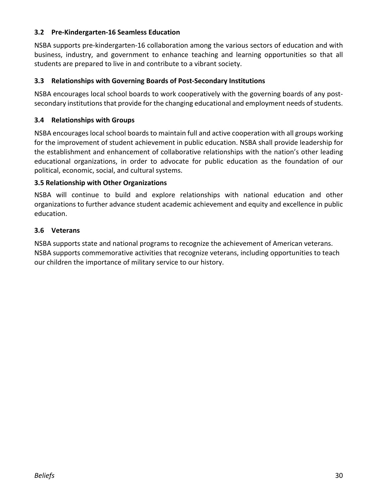#### **3.2 Pre-Kindergarten-16 Seamless Education**

NSBA supports pre-kindergarten-16 collaboration among the various sectors of education and with business, industry, and government to enhance teaching and learning opportunities so that all students are prepared to live in and contribute to a vibrant society.

#### **3.3 Relationships with Governing Boards of Post-Secondary Institutions**

NSBA encourages local school boards to work cooperatively with the governing boards of any postsecondary institutions that provide for the changing educational and employment needs of students.

#### **3.4 Relationships with Groups**

NSBA encourages local school boards to maintain full and active cooperation with all groups working for the improvement of student achievement in public education. NSBA shall provide leadership for the establishment and enhancement of collaborative relationships with the nation's other leading educational organizations, in order to advocate for public education as the foundation of our political, economic, social, and cultural systems.

#### **3.5 Relationship with Other Organizations**

NSBA will continue to build and explore relationships with national education and other organizations to further advance student academic achievement and equity and excellence in public education.

#### **3.6 Veterans**

NSBA supports state and national programs to recognize the achievement of American veterans. NSBA supports commemorative activities that recognize veterans, including opportunities to teach our children the importance of military service to our history.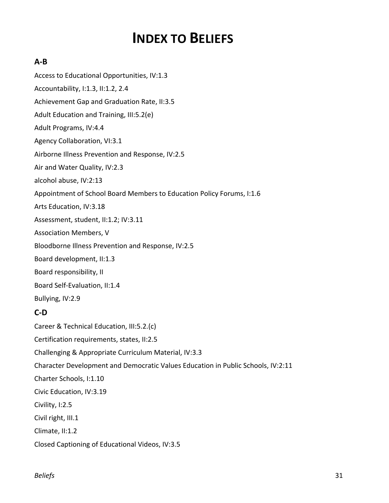# **INDEX TO BELIEFS**

#### **A-B**

Access to Educational Opportunities, IV:1.3 Accountability, I:1.3, II:1.2, 2.4 Achievement Gap and Graduation Rate, II:3.5 Adult Education and Training, III:5.2(e) Adult Programs, IV:4.4 Agency Collaboration, VI:3.1 Airborne Illness Prevention and Response, IV:2.5 Air and Water Quality, IV:2.3 alcohol abuse, IV:2:13 Appointment of School Board Members to Education Policy Forums, I:1.6 Arts Education, IV:3.18 Assessment, student, II:1.2; IV:3.11 Association Members, V Bloodborne Illness Prevention and Response, IV:2.5 Board development, II:1.3 Board responsibility, II Board Self-Evaluation, II:1.4 Bullying, IV:2.9 **C-D** Career & Technical Education, III:5.2.(c) Certification requirements, states, II:2.5 Challenging & Appropriate Curriculum Material, IV:3.3 Character Development and Democratic Values Education in Public Schools, IV:2:11 Charter Schools, I:1.10 Civic Education, IV:3.19

Civility, I:2.5

Civil right, III.1

Climate, II:1.2

Closed Captioning of Educational Videos, IV:3.5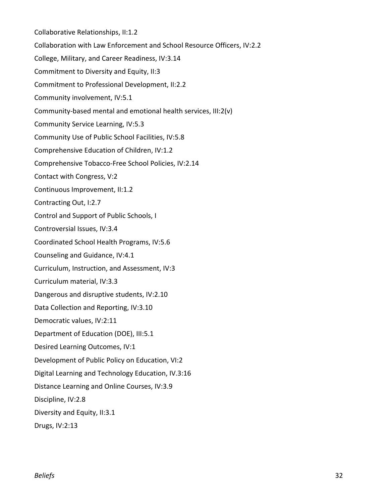Collaborative Relationships, II:1.2 Collaboration with Law Enforcement and School Resource Officers, IV:2.2 College, Military, and Career Readiness, IV:3.14 Commitment to Diversity and Equity, II:3 Commitment to Professional Development, II:2.2 Community involvement, IV:5.1 Community-based mental and emotional health services, III:2(v) Community Service Learning, IV:5.3 Community Use of Public School Facilities, IV:5.8 Comprehensive Education of Children, IV:1.2 Comprehensive Tobacco-Free School Policies, IV:2.14 Contact with Congress, V:2 Continuous Improvement, II:1.2 Contracting Out, I:2.7 Control and Support of Public Schools, I Controversial Issues, IV:3.4 Coordinated School Health Programs, IV:5.6 Counseling and Guidance, IV:4.1 Curriculum, Instruction, and Assessment, IV:3 Curriculum material, IV:3.3 Dangerous and disruptive students, IV:2.10 Data Collection and Reporting, IV:3.10 Democratic values, IV:2:11 Department of Education (DOE), III:5.1 Desired Learning Outcomes, IV:1 Development of Public Policy on Education, VI:2 Digital Learning and Technology Education, IV.3:16 Distance Learning and Online Courses, IV:3.9 Discipline, IV:2.8 Diversity and Equity, II:3.1 Drugs, IV:2:13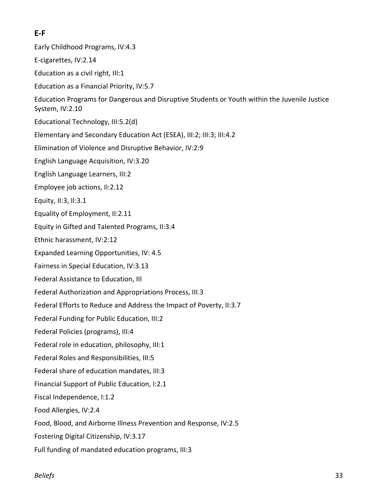# **E-F**

- Early Childhood Programs, IV:4.3
- E-cigarettes, IV:2.14
- Education as a civil right, III:1
- Education as a Financial Priority, IV:5.7
- Education Programs for Dangerous and Disruptive Students or Youth within the Juvenile Justice System, IV:2.10
- Educational Technology, III:5.2(d)
- Elementary and Secondary Education Act (ESEA), III:2; III:3; III:4.2
- Elimination of Violence and Disruptive Behavior, IV:2:9
- English Language Acquisition, IV:3.20
- English Language Learners, III:2
- Employee job actions, II:2.12
- Equity, II:3, II:3.1
- Equality of Employment, II:2.11
- Equity in Gifted and Talented Programs, II:3.4
- Ethnic harassment, IV:2:12
- Expanded Learning Opportunities, IV: 4.5
- Fairness in Special Education, IV:3.13
- Federal Assistance to Education, III
- Federal Authorization and Appropriations Process, III.3
- Federal Efforts to Reduce and Address the Impact of Poverty, II:3.7
- Federal Funding for Public Education, III:2
- Federal Policies (programs), III:4
- Federal role in education, philosophy, III:1
- Federal Roles and Responsibilities, III:5
- Federal share of education mandates, III:3
- Financial Support of Public Education, I:2.1
- Fiscal Independence, I:1.2
- Food Allergies, IV:2.4
- Food, Blood, and Airborne Illness Prevention and Response, IV:2.5
- Fostering Digital Citizenship, IV:3.17
- Full funding of mandated education programs, III:3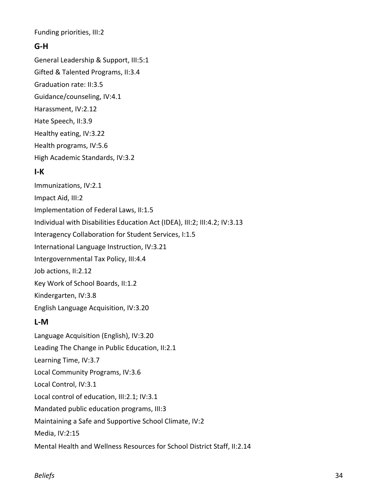Funding priorities, III:2

## **G-H**

General Leadership & Support, III:5:1 Gifted & Talented Programs, II:3.4 Graduation rate: II:3.5 Guidance/counseling, IV:4.1 Harassment, IV:2.12 Hate Speech, II:3.9 Healthy eating, IV:3.22 Health programs, IV:5.6 High Academic Standards, IV:3.2

#### **I-K**

Immunizations, IV:2.1 Impact Aid, III:2 Implementation of Federal Laws, II:1.5 Individual with Disabilities Education Act (IDEA), III:2; III:4.2; IV:3.13 Interagency Collaboration for Student Services, I:1.5 International Language Instruction, IV:3.21 Intergovernmental Tax Policy, III:4.4 Job actions, II:2.12 Key Work of School Boards, II:1.2 Kindergarten, IV:3.8 English Language Acquisition, IV:3.20

# **L-M**

Language Acquisition (English), IV:3.20 Leading The Change in Public Education, II:2.1 Learning Time, IV:3.7 Local Community Programs, IV:3.6 Local Control, IV:3.1 Local control of education, III:2.1; IV:3.1 Mandated public education programs, III:3 Maintaining a Safe and Supportive School Climate, IV:2 Media, IV:2:15 Mental Health and Wellness Resources for School District Staff, II:2.14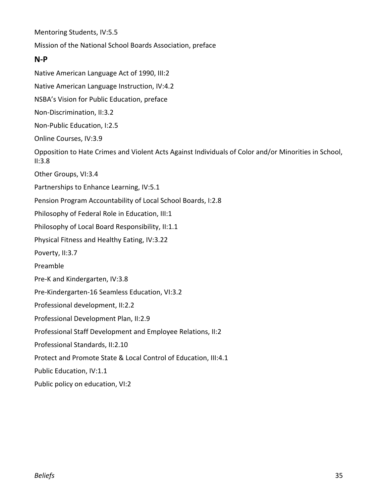Mentoring Students, IV:5.5

Mission of the National School Boards Association, preface

#### **N-P**

Native American Language Act of 1990, III:2 Native American Language Instruction, IV:4.2 NSBA's Vision for Public Education, preface Non-Discrimination, II:3.2 Non-Public Education, I:2.5 Online Courses, IV:3.9 Opposition to Hate Crimes and Violent Acts Against Individuals of Color and/or Minorities in School, II:3.8 Other Groups, VI:3.4 Partnerships to Enhance Learning, IV:5.1 Pension Program Accountability of Local School Boards, I:2.8 Philosophy of Federal Role in Education, III:1 Philosophy of Local Board Responsibility, II:1.1 Physical Fitness and Healthy Eating, IV:3.22 Poverty, II:3.7 Preamble Pre-K and Kindergarten, IV:3.8 Pre-Kindergarten-16 Seamless Education, VI:3.2 Professional development, II:2.2 Professional Development Plan, II:2.9 Professional Staff Development and Employee Relations, II:2 Professional Standards, II:2.10 Protect and Promote State & Local Control of Education, III:4.1 Public Education, IV:1.1 Public policy on education, VI:2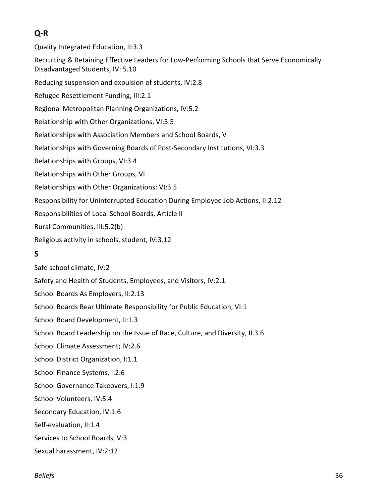# **Q-R**

Quality Integrated Education, II:3.3 Recruiting & Retaining Effective Leaders for Low-Performing Schools that Serve Economically Disadvantaged Students, IV: 5.10 Reducing suspension and expulsion of students, IV:2.8 Refugee Resettlement Funding, III:2.1 Regional Metropolitan Planning Organizations, IV:5.2 Relationship with Other Organizations, VI:3.5 Relationships with Association Members and School Boards, V Relationships with Governing Boards of Post-Secondary Institutions, VI:3.3 Relationships with Groups, VI:3.4 Relationships with Other Groups, VI Relationships with Other Organizations: VI:3.5 Responsibility for Uninterrupted Education During Employee Job Actions, II.2.12 Responsibilities of Local School Boards, Article II Rural Communities, III:5.2(b) Religious activity in schools, student, IV:3.12 **S**

Safe school climate, IV:2 Safety and Health of Students, Employees, and Visitors, IV:2.1 School Boards As Employers, II:2.13 School Boards Bear Ultimate Responsibility for Public Education, VI:1 School Board Development, II:1.3 School Board Leadership on the Issue of Race, Culture, and Diversity, II.3.6 School Climate Assessment; IV:2.6 School District Organization, I:1.1 School Finance Systems, I:2.6 School Governance Takeovers, I:1.9 School Volunteers, IV:5.4 Secondary Education, IV:1:6 Self-evaluation, II:1.4 Services to School Boards, V:3 Sexual harassment, IV:2:12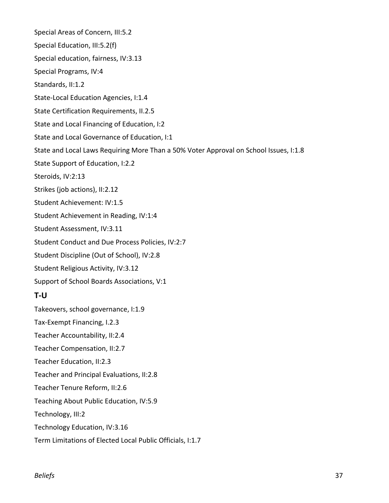Special Areas of Concern, III:5.2 Special Education, III:5.2(f) Special education, fairness, IV:3.13 Special Programs, IV:4 Standards, II:1.2 State-Local Education Agencies, I:1.4 State Certification Requirements, II.2.5 State and Local Financing of Education, I:2 State and Local Governance of Education, I:1 State and Local Laws Requiring More Than a 50% Voter Approval on School Issues, I:1.8 State Support of Education, I:2.2 Steroids, IV:2:13 Strikes (job actions), II:2.12 Student Achievement: IV:1.5 Student Achievement in Reading, IV:1:4 Student Assessment, IV:3.11 Student Conduct and Due Process Policies, IV:2:7 Student Discipline (Out of School), IV:2.8 Student Religious Activity, IV:3.12 Support of School Boards Associations, V:1 **T-U** Takeovers, school governance, I:1.9 Tax-Exempt Financing, I.2.3 Teacher Accountability, II:2.4 Teacher Compensation, II:2.7 Teacher Education, II:2.3 Teacher and Principal Evaluations, II:2.8 Teacher Tenure Reform, II:2.6 Teaching About Public Education, IV:5.9 Technology, III:2 Technology Education, IV:3.16 Term Limitations of Elected Local Public Officials, I:1.7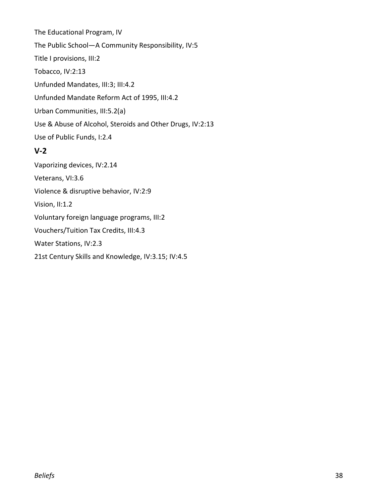The Educational Program, IV The Public School—A Community Responsibility, IV:5 Title I provisions, III:2 Tobacco, IV:2:13 Unfunded Mandates, III:3; III:4.2 Unfunded Mandate Reform Act of 1995, III:4.2 Urban Communities, III:5.2(a) Use & Abuse of Alcohol, Steroids and Other Drugs, IV:2:13 Use of Public Funds, I:2.4

## **V-2**

Vaporizing devices, IV:2.14 Veterans, VI:3.6 Violence & disruptive behavior, IV:2:9 Vision, II:1.2 Voluntary foreign language programs, III:2 Vouchers/Tuition Tax Credits, III:4.3 Water Stations, IV:2.3 21st Century Skills and Knowledge, IV:3.15; IV:4.5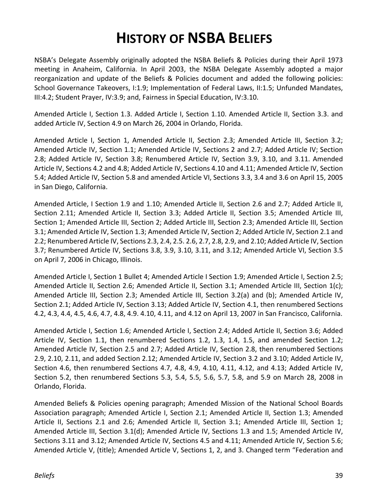# **HISTORY OF NSBA BELIEFS**

NSBA's Delegate Assembly originally adopted the NSBA Beliefs & Policies during their April 1973 meeting in Anaheim, California. In April 2003, the NSBA Delegate Assembly adopted a major reorganization and update of the Beliefs & Policies document and added the following policies: School Governance Takeovers, I:1.9; Implementation of Federal Laws, II:1.5; Unfunded Mandates, III:4.2; Student Prayer, IV:3.9; and, Fairness in Special Education, IV:3.10.

Amended Article I, Section 1.3. Added Article I, Section 1.10. Amended Article II, Section 3.3. and added Article IV, Section 4.9 on March 26, 2004 in Orlando, Florida.

Amended Article I, Section 1, Amended Article II, Section 2.3; Amended Article III, Section 3.2; Amended Article IV, Section 1.1; Amended Article IV, Sections 2 and 2.7; Added Article IV; Section 2.8; Added Article IV, Section 3.8; Renumbered Article IV, Section 3.9, 3.10, and 3.11. Amended Article IV, Sections 4.2 and 4.8; Added Article IV, Sections 4.10 and 4.11; Amended Article IV, Section 5.4; Added Article IV, Section 5.8 and amended Article VI, Sections 3.3, 3.4 and 3.6 on April 15, 2005 in San Diego, California.

Amended Article, I Section 1.9 and 1.10; Amended Article II, Section 2.6 and 2.7; Added Article II, Section 2.11; Amended Article II, Section 3.3; Added Article II, Section 3.5; Amended Article III, Section 1; Amended Article III, Section 2; Added Article III, Section 2.3; Amended Article III, Section 3.1; Amended Article IV, Section 1.3; Amended Article IV, Section 2; Added Article IV, Section 2.1 and 2.2; Renumbered Article IV, Sections 2.3, 2.4, 2.5. 2.6, 2.7, 2.8, 2.9, and 2.10; Added Article IV, Section 3.7; Renumbered Article IV, Sections 3.8, 3.9, 3.10, 3.11, and 3.12; Amended Article VI, Section 3.5 on April 7, 2006 in Chicago, Illinois.

Amended Article I, Section 1 Bullet 4; Amended Article I Section 1.9; Amended Article I, Section 2.5; Amended Article II, Section 2.6; Amended Article II, Section 3.1; Amended Article III, Section 1(c); Amended Article III, Section 2.3; Amended Article III, Section 3.2(a) and (b); Amended Article IV, Section 2.1; Added Article IV, Section 3.13; Added Article IV, Section 4.1, then renumbered Sections 4.2, 4.3, 4.4, 4.5, 4.6, 4.7, 4.8, 4.9. 4.10, 4.11, and 4.12 on April 13, 2007 in San Francisco, California.

Amended Article I, Section 1.6; Amended Article I, Section 2.4; Added Article II, Section 3.6; Added Article IV, Section 1.1, then renumbered Sections 1.2, 1.3, 1.4, 1.5, and amended Section 1.2; Amended Article IV, Section 2.5 and 2.7; Added Article IV, Section 2.8, then renumbered Sections 2.9, 2.10, 2.11, and added Section 2.12; Amended Article IV, Section 3.2 and 3.10; Added Article IV, Section 4.6, then renumbered Sections 4.7, 4.8, 4.9, 4.10, 4.11, 4.12, and 4.13; Added Article IV, Section 5.2, then renumbered Sections 5.3, 5.4, 5.5, 5.6, 5.7, 5.8, and 5.9 on March 28, 2008 in Orlando, Florida.

Amended Beliefs & Policies opening paragraph; Amended Mission of the National School Boards Association paragraph; Amended Article I, Section 2.1; Amended Article II, Section 1.3; Amended Article II, Sections 2.1 and 2.6; Amended Article II, Section 3.1; Amended Article III, Section 1; Amended Article III, Section 3.1(d); Amended Article IV, Sections 1.3 and 1.5; Amended Article IV, Sections 3.11 and 3.12; Amended Article IV, Sections 4.5 and 4.11; Amended Article IV, Section 5.6; Amended Article V, (title); Amended Article V, Sections 1, 2, and 3. Changed term "Federation and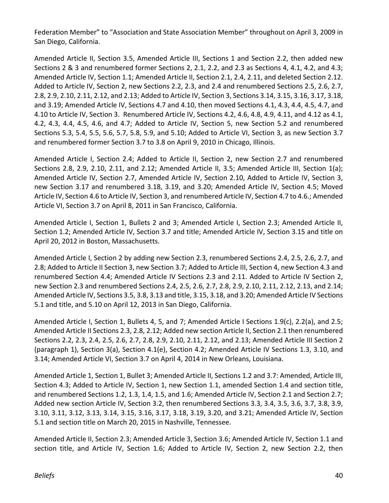Federation Member" to "Association and State Association Member" throughout on April 3, 2009 in San Diego, California.

Amended Article II, Section 3.5, Amended Article III, Sections 1 and Section 2.2, then added new Sections 2 & 3 and renumbered former Sections 2, 2.1, 2.2, and 2.3 as Sections 4, 4.1, 4.2, and 4.3; Amended Article IV, Section 1.1; Amended Article II, Section 2.1, 2.4, 2.11, and deleted Section 2.12. Added to Article IV, Section 2, new Sections 2.2, 2.3, and 2.4 and renumbered Sections 2.5, 2.6, 2.7, 2.8, 2.9, 2.10, 2.11, 2.12, and 2.13; Added to Article IV, Section 3, Sections 3.14, 3.15, 3.16, 3.17, 3.18, and 3.19; Amended Article IV, Sections 4.7 and 4.10, then moved Sections 4.1, 4.3, 4.4, 4.5, 4.7, and 4.10 to Article IV, Section 3. Renumbered Article IV, Sections 4.2, 4.6, 4.8, 4.9, 4.11, and 4.12 as 4.1, 4.2, 4.3, 4.4, 4.5, 4.6, and 4.7; Added to Article IV, Section 5, new Section 5.2 and renumbered Sections 5.3, 5.4, 5.5, 5.6, 5.7, 5.8, 5.9, and 5.10; Added to Article VI, Section 3, as new Section 3.7 and renumbered former Section 3.7 to 3.8 on April 9, 2010 in Chicago, Illinois.

Amended Article I, Section 2.4; Added to Article II, Section 2, new Section 2.7 and renumbered Sections 2.8, 2.9, 2.10, 2.11, and 2.12; Amended Article II, 3.5; Amended Article III, Section 1(a); Amended Article IV, Section 2.7, Amended Article IV, Section 2.10, Added to Article IV, Section 3, new Section 3.17 and renumbered 3.18, 3.19, and 3.20; Amended Article IV, Section 4.5; Moved Article IV, Section 4.6 to Article IV, Section 3, and renumbered Article IV, Section 4.7 to 4.6.; Amended Article VI, Section 3.7 on April 8, 2011 in San Francisco, California.

Amended Article I, Section 1, Bullets 2 and 3; Amended Article I, Section 2.3; Amended Article II, Section 1.2; Amended Article IV, Section 3.7 and title; Amended Article IV, Section 3.15 and title on April 20, 2012 in Boston, Massachusetts.

Amended Article I, Section 2 by adding new Section 2.3, renumbered Sections 2.4, 2.5, 2.6, 2.7, and 2.8; Added to Article II Section 3, new Section 3.7; Added to Article III, Section 4, new Section 4.3 and renumbered Section 4.4; Amended Article IV Sections 2.3 and 2.11. Added to Article IV Section 2, new Section 2.3 and renumbered Sections 2.4, 2.5, 2.6, 2.7, 2.8, 2.9, 2.10, 2.11, 2.12, 2.13, and 2.14; Amended Article IV, Sections 3.5, 3.8, 3.13 and title, 3.15, 3.18, and 3.20; Amended Article IV Sections 5.1 and title, and 5.10 on April 12, 2013 in San Diego, California.

Amended Article I, Section 1, Bullets 4, 5, and 7; Amended Article I Sections 1.9(c), 2.2(a), and 2.5; Amended Article II Sections 2.3, 2.8, 2.12; Added new section Article II, Section 2.1 then renumbered Sections 2.2, 2.3, 2.4, 2.5, 2.6, 2.7, 2.8, 2.9, 2.10, 2.11, 2.12, and 2.13; Amended Article III Section 2 (paragraph 1), Section 3(a), Section 4.1(e), Section 4.2; Amended Article IV Sections 1.3, 3.10, and 3.14; Amended Article VI, Section 3.7 on April 4, 2014 in New Orleans, Louisiana.

Amended Article 1, Section 1, Bullet 3; Amended Article II, Sections 1.2 and 3.7: Amended, Article III, Section 4.3; Added to Article IV, Section 1, new Section 1.1, amended Section 1.4 and section title, and renumbered Sections 1.2, 1.3, 1.4, 1.5, and 1.6; Amended Article IV, Section 2.1 and Section 2.7; Added new section Article IV, Section 3.2, then renumbered Sections 3.3, 3.4, 3.5, 3.6, 3.7, 3.8, 3.9, 3.10, 3.11, 3.12, 3.13, 3.14, 3.15, 3.16, 3.17, 3.18, 3.19, 3.20, and 3.21; Amended Article IV, Section 5.1 and section title on March 20, 2015 in Nashville, Tennessee.

Amended Article II, Section 2.3; Amended Article 3, Section 3.6; Amended Article IV, Section 1.1 and section title, and Article IV, Section 1.6; Added to Article IV, Section 2, new Section 2.2, then